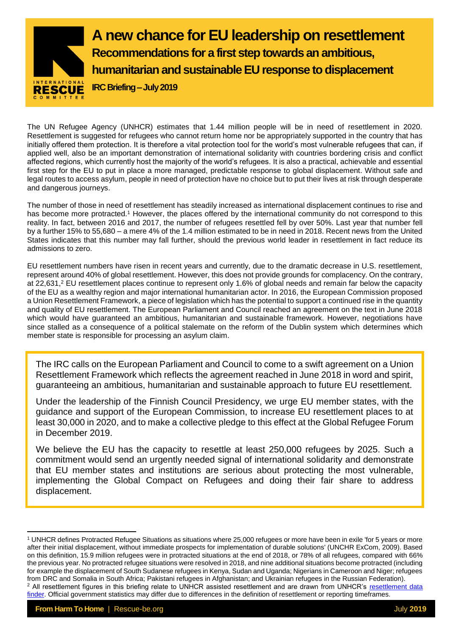

The UN Refugee Agency (UNHCR) estimates that 1.44 million people will be in need of resettlement in 2020. Resettlement is suggested for refugees who cannot return home nor be appropriately supported in the country that has initially offered them protection. It is therefore a vital protection tool for the world's most vulnerable refugees that can, if applied well, also be an important demonstration of international solidarity with countries bordering crisis and conflict affected regions, which currently host the majority of the world's refugees. It is also a practical, achievable and essential first step for the EU to put in place a more managed, predictable response to global displacement. Without safe and legal routes to access asylum, people in need of protection have no choice but to put their lives at risk through desperate and dangerous journeys.

The number of those in need of resettlement has steadily increased as international displacement continues to rise and has become more protracted.<sup>1</sup> However, the places offered by the international community do not correspond to this reality. In fact, between 2016 and 2017, the number of refugees resettled fell by over 50%. Last year that number fell by a further 15% to 55,680 – a mere 4% of the 1.4 million estimated to be in need in 2018. Recent news from the United States indicates that this number may fall further, should the previous world leader in resettlement in fact reduce its admissions to zero.

EU resettlement numbers have risen in recent years and currently, due to the dramatic decrease in U.S. resettlement, represent around 40% of global resettlement. However, this does not provide grounds for complacency. On the contrary, at 22,631,<sup>2</sup> EU resettlement places continue to represent only 1.6% of global needs and remain far below the capacity of the EU as a wealthy region and major international humanitarian actor. In 2016, the European Commission proposed a Union Resettlement Framework, a piece of legislation which has the potential to support a continued rise in the quantity and quality of EU resettlement. The European Parliament and Council reached an agreement on the text in June 2018 which would have guaranteed an ambitious, humanitarian and sustainable framework. However, negotiations have since stalled as a consequence of a political stalemate on the reform of the Dublin system which determines which member state is responsible for processing an asylum claim.

The IRC calls on the European Parliament and Council to come to a swift agreement on a Union Resettlement Framework which reflects the agreement reached in June 2018 in word and spirit, guaranteeing an ambitious, humanitarian and sustainable approach to future EU resettlement.

Under the leadership of the Finnish Council Presidency, we urge EU member states, with the guidance and support of the European Commission, to increase EU resettlement places to at least 30,000 in 2020, and to make a collective pledge to this effect at the Global Refugee Forum in December 2019.

We believe the EU has the capacity to resettle at least 250,000 refugees by 2025. Such a commitment would send an urgently needed signal of international solidarity and demonstrate that EU member states and institutions are serious about protecting the most vulnerable, implementing the Global Compact on Refugees and doing their fair share to address displacement.

<u>.</u>

<sup>1</sup> UNHCR defines Protracted Refugee Situations as situations where 25,000 refugees or more have been in exile 'for 5 years or more after their initial displacement, without immediate prospects for implementation of durable solutions' (UNCHR ExCom, 2009). Based on this definition, 15.9 million refugees were in protracted situations at the end of 2018, or 78% of all refugees, compared with 66% the previous year. No protracted refugee situations were resolved in 2018, and nine additional situations become protracted (including for example the displacement of South Sudanese refugees in Kenya, Sudan and Uganda; Nigerians in Cameroon and Niger; refugees from DRC and Somalia in South Africa; Pakistani refugees in Afghanistan; and Ukrainian refugees in the Russian Federation). <sup>2</sup> All resettlement figures in this briefing relate to UNHCR assisted resettlement and are drawn from UNHCR's resettlement data [finder.](https://www.unhcr.org/resettlement-data.html) Official government statistics may differ due to differences in the definition of resettlement or reporting timeframes.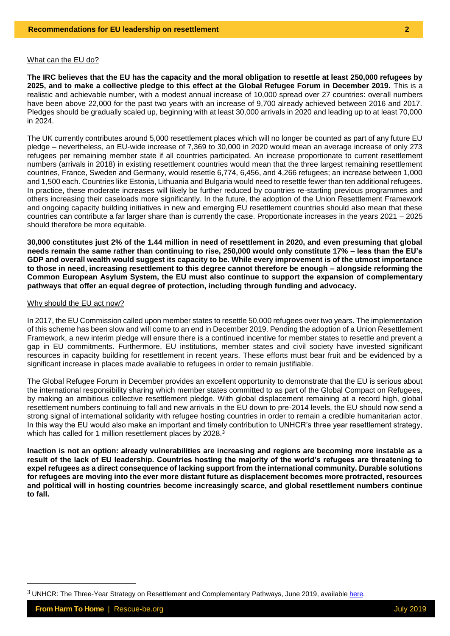### What can the EU do?

**The IRC believes that the EU has the capacity and the moral obligation to resettle at least 250,000 refugees by 2025, and to make a collective pledge to this effect at the Global Refugee Forum in December 2019.** This is a realistic and achievable number, with a modest annual increase of 10,000 spread over 27 countries: overall numbers have been above 22,000 for the past two years with an increase of 9,700 already achieved between 2016 and 2017. Pledges should be gradually scaled up, beginning with at least 30,000 arrivals in 2020 and leading up to at least 70,000 in 2024.

The UK currently contributes around 5,000 resettlement places which will no longer be counted as part of any future EU pledge – nevertheless, an EU-wide increase of 7,369 to 30,000 in 2020 would mean an average increase of only 273 refugees per remaining member state if all countries participated. An increase proportionate to current resettlement numbers (arrivals in 2018) in existing resettlement countries would mean that the three largest remaining resettlement countries, France, Sweden and Germany, would resettle 6,774, 6,456, and 4,266 refugees; an increase between 1,000 and 1,500 each. Countries like Estonia, Lithuania and Bulgaria would need to resettle fewer than ten additional refugees. In practice, these moderate increases will likely be further reduced by countries re-starting previous programmes and others increasing their caseloads more significantly. In the future, the adoption of the Union Resettlement Framework and ongoing capacity building initiatives in new and emerging EU resettlement countries should also mean that these countries can contribute a far larger share than is currently the case. Proportionate increases in the years 2021 – 2025 should therefore be more equitable.

**30,000 constitutes just 2% of the 1.44 million in need of resettlement in 2020, and even presuming that global needs remain the same rather than continuing to rise, 250,000 would only constitute 17% – less than the EU's GDP and overall wealth would suggest its capacity to be. While every improvement is of the utmost importance to those in need, increasing resettlement to this degree cannot therefore be enough – alongside reforming the Common European Asylum System, the EU must also continue to support the expansion of complementary pathways that offer an equal degree of protection, including through funding and advocacy.** 

# Why should the EU act now?

In 2017, the EU Commission called upon member states to resettle 50,000 refugees over two years. The implementation of this scheme has been slow and will come to an end in December 2019. Pending the adoption of a Union Resettlement Framework, a new interim pledge will ensure there is a continued incentive for member states to resettle and prevent a gap in EU commitments. Furthermore, EU institutions, member states and civil society have invested significant resources in capacity building for resettlement in recent years. These efforts must bear fruit and be evidenced by a significant increase in places made available to refugees in order to remain justifiable.

The Global Refugee Forum in December provides an excellent opportunity to demonstrate that the EU is serious about the international responsibility sharing which member states committed to as part of the Global Compact on Refugees, by making an ambitious collective resettlement pledge. With global displacement remaining at a record high, global resettlement numbers continuing to fall and new arrivals in the EU down to pre-2014 levels, the EU should now send a strong signal of international solidarity with refugee hosting countries in order to remain a credible humanitarian actor. In this way the EU would also make an important and timely contribution to UNHCR's three year resettlement strategy, which has called for 1 million resettlement places by 2028.<sup>3</sup>

**Inaction is not an option: already vulnerabilities are increasing and regions are becoming more instable as a result of the lack of EU leadership. Countries hosting the majority of the world's refugees are threatening to expel refugees as a direct consequence of lacking support from the international community. Durable solutions for refugees are moving into the ever more distant future as displacement becomes more protracted, resources and political will in hosting countries become increasingly scarce, and global resettlement numbers continue to fall.**

 $3$  UNHCR: The Three-Year Strategy on Resettlement and Complementary Pathways, June 2019, availabl[e here.](https://www.unhcr.org/protection/resettlement/5d15db254/three-year-strategy-resettlement-complementary-pathways.html)

<u>.</u>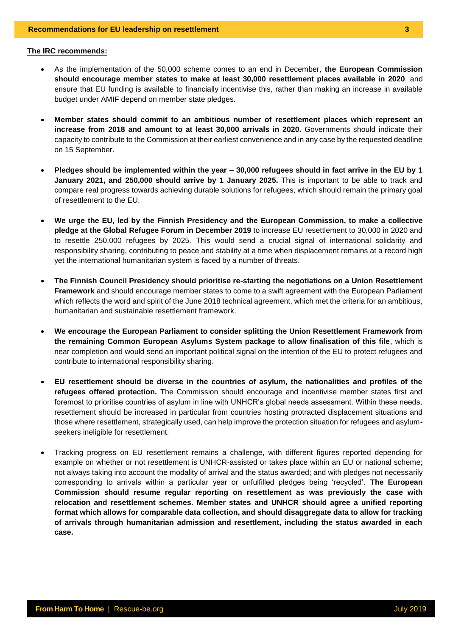### **The IRC recommends:**

- As the implementation of the 50,000 scheme comes to an end in December, **the European Commission should encourage member states to make at least 30,000 resettlement places available in 2020**, and ensure that EU funding is available to financially incentivise this, rather than making an increase in available budget under AMIF depend on member state pledges.
- **Member states should commit to an ambitious number of resettlement places which represent an increase from 2018 and amount to at least 30,000 arrivals in 2020.** Governments should indicate their capacity to contribute to the Commission at their earliest convenience and in any case by the requested deadline on 15 September.
- **Pledges should be implemented within the year – 30,000 refugees should in fact arrive in the EU by 1 January 2021, and 250,000 should arrive by 1 January 2025.** This is important to be able to track and compare real progress towards achieving durable solutions for refugees, which should remain the primary goal of resettlement to the EU.
- **We urge the EU, led by the Finnish Presidency and the European Commission, to make a collective pledge at the Global Refugee Forum in December 2019** to increase EU resettlement to 30,000 in 2020 and to resettle 250,000 refugees by 2025. This would send a crucial signal of international solidarity and responsibility sharing, contributing to peace and stability at a time when displacement remains at a record high yet the international humanitarian system is faced by a number of threats.
- **The Finnish Council Presidency should prioritise re-starting the negotiations on a Union Resettlement Framework** and should encourage member states to come to a swift agreement with the European Parliament which reflects the word and spirit of the June 2018 technical agreement, which met the criteria for an ambitious, humanitarian and sustainable resettlement framework.
- **We encourage the European Parliament to consider splitting the Union Resettlement Framework from the remaining Common European Asylums System package to allow finalisation of this file**, which is near completion and would send an important political signal on the intention of the EU to protect refugees and contribute to international responsibility sharing.
- **EU resettlement should be diverse in the countries of asylum, the nationalities and profiles of the refugees offered protection.** The Commission should encourage and incentivise member states first and foremost to prioritise countries of asylum in line with UNHCR's global needs assessment. Within these needs, resettlement should be increased in particular from countries hosting protracted displacement situations and those where resettlement, strategically used, can help improve the protection situation for refugees and asylumseekers ineligible for resettlement.
- Tracking progress on EU resettlement remains a challenge, with different figures reported depending for example on whether or not resettlement is UNHCR-assisted or takes place within an EU or national scheme; not always taking into account the modality of arrival and the status awarded; and with pledges not necessarily corresponding to arrivals within a particular year or unfulfilled pledges being 'recycled'. **The European Commission should resume regular reporting on resettlement as was previously the case with relocation and resettlement schemes. Member states and UNHCR should agree a unified reporting format which allows for comparable data collection, and should disaggregate data to allow for tracking of arrivals through humanitarian admission and resettlement, including the status awarded in each case.**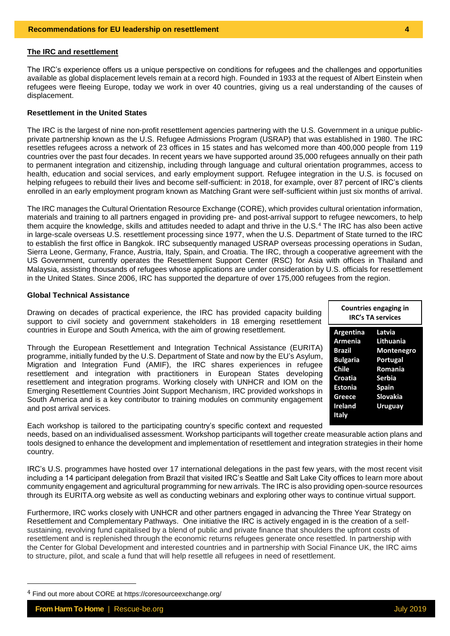### **The IRC and resettlement**

The IRC's experience offers us a unique perspective on conditions for refugees and the challenges and opportunities available as global displacement levels remain at a record high. Founded in 1933 at the request of Albert Einstein when refugees were fleeing Europe, today we work in over 40 countries, giving us a real understanding of the causes of displacement.

# **Resettlement in the United States**

The IRC is the largest of nine non-profit resettlement agencies partnering with the U.S. Government in a unique publicprivate partnership known as the U.S. Refugee Admissions Program (USRAP) that was established in 1980. The IRC resettles refugees across a network of 23 offices in 15 states and has welcomed more than 400,000 people from 119 countries over the past four decades. In recent years we have supported around 35,000 refugees annually on their path to permanent integration and citizenship, including through language and cultural orientation programmes, access to health, education and social services, and early employment support. Refugee integration in the U.S. is focused on helping refugees to rebuild their lives and become self-sufficient: in 2018, for example, over 87 percent of IRC's clients enrolled in an early employment program known as Matching Grant were self-sufficient within just six months of arrival.

The IRC manages the Cultural Orientation Resource Exchange (CORE), which provides cultural orientation information, materials and training to all partners engaged in providing pre- and post-arrival support to refugee newcomers, to help them acquire the knowledge, skills and attitudes needed to adapt and thrive in the U.S.<sup>4</sup> The IRC has also been active in large-scale overseas U.S. resettlement processing since 1977, when the U.S. Department of State turned to the IRC to establish the first office in Bangkok. IRC subsequently managed USRAP overseas processing operations in Sudan, Sierra Leone, Germany, France, Austria, Italy, Spain, and Croatia. The IRC, through a cooperative agreement with the US Government, currently operates the Resettlement Support Center (RSC) for Asia with offices in Thailand and Malaysia, assisting thousands of refugees whose applications are under consideration by U.S. officials for resettlement in the United States. Since 2006, IRC has supported the departure of over 175,000 refugees from the region.

### **Global Technical Assistance**

Drawing on decades of practical experience, the IRC has provided capacity building support to civil society and government stakeholders in 18 emerging resettlement countries in Europe and South America, with the aim of growing resettlement.

Through the European Resettlement and Integration Technical Assistance (EURITA) programme, initially funded by the U.S. Department of State and now by the EU's Asylum, Migration and Integration Fund (AMIF), the IRC shares experiences in refugee resettlement and integration with practitioners in European States developing resettlement and integration programs. Working closely with UNHCR and IOM on the Emerging Resettlement Countries Joint Support Mechanism, IRC provided workshops in South America and is a key contributor to training modules on community engagement and post arrival services.

| <b>Countries engaging in</b><br><b>IRC's TA services</b> |                   |
|----------------------------------------------------------|-------------------|
| Argentina                                                | Latvia            |
| Armenia                                                  | Lithuania         |
| <b>Brazil</b>                                            | <b>Montenegro</b> |
| <b>Bulgaria</b>                                          | <b>Portugal</b>   |
| <b>Chile</b>                                             | Romania           |
| <b>Croatia</b>                                           | <b>Serbia</b>     |
| <b>Estonia</b>                                           | <b>Spain</b>      |
| Greece                                                   | <b>Slovakia</b>   |
| Ireland                                                  | <b>Uruguav</b>    |
| Italv                                                    |                   |

Each workshop is tailored to the participating country's specific context and requested needs, based on an individualised assessment. Workshop participants will together create measurable action plans and tools designed to enhance the development and implementation of resettlement and integration strategies in their home country.

IRC's U.S. programmes have hosted over 17 international delegations in the past few years, with the most recent visit including a 14 participant delegation from Brazil that visited IRC's Seattle and Salt Lake City offices to learn more about community engagement and agricultural programming for new arrivals. The IRC is also providing open-source resources through its EURITA.org website as well as conducting webinars and exploring other ways to continue virtual support.

Furthermore, IRC works closely with UNHCR and other partners engaged in advancing the Three Year Strategy on Resettlement and Complementary Pathways. One initiative the IRC is actively engaged in is the creation of a selfsustaining, revolving fund capitalised by a blend of public and private finance that shoulders the upfront costs of resettlement and is replenished through the economic returns refugees generate once resettled. In partnership with the Center for Global Development and interested countries and in partnership with Social Finance UK, the IRC aims to structure, pilot, and scale a fund that will help resettle all refugees in need of resettlement.

<u>.</u>

<sup>4</sup> Find out more about CORE at <https://coresourceexchange.org/>